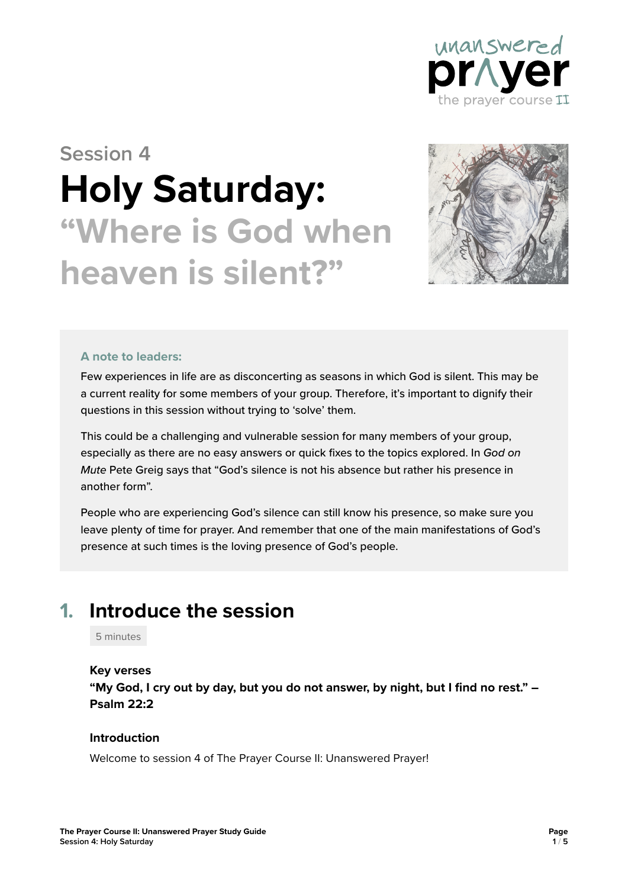

# **Session 4 Holy Saturday: "Where is God when heaven is silent?"**



#### **A note to leaders:**

Few experiences in life are as disconcerting as seasons in which God is silent. This may be a current reality for some members of your group. Therefore, it's important to dignify their questions in this session without trying to 'solve' them.

This could be a challenging and vulnerable session for many members of your group, especially as there are no easy answers or quick fixes to the topics explored. In *God on Mute* Pete Greig says that "God's silence is not his absence but rather his presence in another form".

People who are experiencing God's silence can still know his presence, so make sure you leave plenty of time for prayer. And remember that one of the main manifestations of God's presence at such times is the loving presence of God's people.

### **1. Introduce the session**

5 minutes

#### **Key verses**

**"My God, I cry out by day, but you do not answer, by night, but I find no rest." – Psalm 22:2**

#### **Introduction**

Welcome to session 4 of The Prayer Course II: Unanswered Prayer!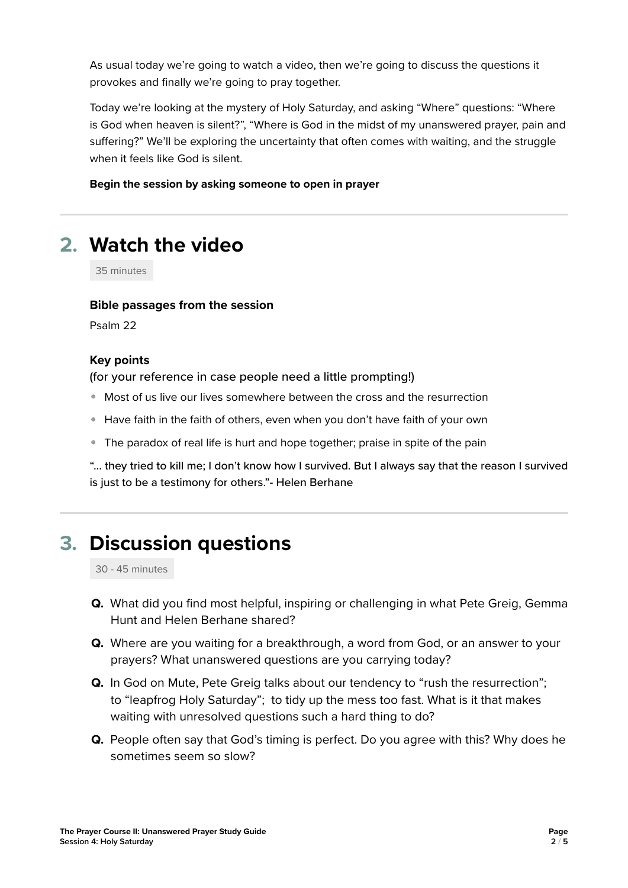As usual today we're going to watch a video, then we're going to discuss the questions it provokes and finally we're going to pray together.

Today we're looking at the mystery of Holy Saturday, and asking "Where" questions: "Where is God when heaven is silent?", "Where is God in the midst of my unanswered prayer, pain and suffering?" We'll be exploring the uncertainty that often comes with waiting, and the struggle when it feels like God is silent.

**Begin the session by asking someone to open in prayer**

# **2. Watch the video**

35 minutes

#### **Bible passages from the session**

Psalm 22

#### **Key points**

(for your reference in case people need a little prompting!)

- Most of us live our lives somewhere between the cross and the resurrection
- Have faith in the faith of others, even when you don't have faith of your own
- The paradox of real life is hurt and hope together; praise in spite of the pain

"... they tried to kill me; I don't know how I survived. But I always say that the reason I survived is just to be a testimony for others."- Helen Berhane

### **3. Discussion questions**

30 - 45 minutes

- **Q.** What did you find most helpful, inspiring or challenging in what Pete Greig, Gemma Hunt and Helen Berhane shared?
- **Q.** Where are you waiting for a breakthrough, a word from God, or an answer to your prayers? What unanswered questions are you carrying today?
- **Q.** In God on Mute, Pete Greig talks about our tendency to "rush the resurrection"; to "leapfrog Holy Saturday"; to tidy up the mess too fast. What is it that makes waiting with unresolved questions such a hard thing to do?
- **Q.** People often say that God's timing is perfect. Do you agree with this? Why does he sometimes seem so slow?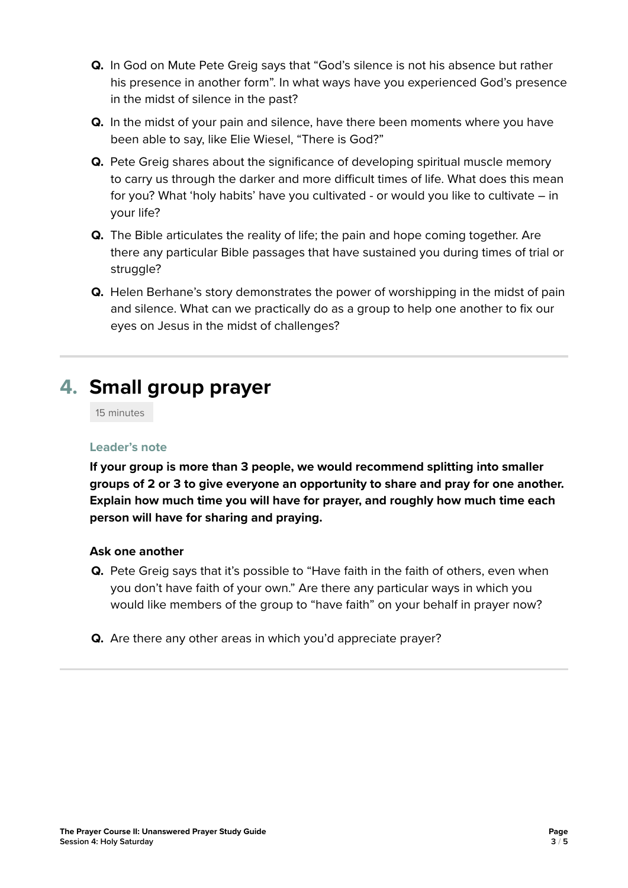- **Q.** In God on Mute Pete Greig says that "God's silence is not his absence but rather his presence in another form". In what ways have you experienced God's presence in the midst of silence in the past?
- **Q.** In the midst of your pain and silence, have there been moments where you have been able to say, like Elie Wiesel, "There is God?"
- **Q.** Pete Greig shares about the significance of developing spiritual muscle memory to carry us through the darker and more difficult times of life. What does this mean for you? What 'holy habits' have you cultivated - or would you like to cultivate – in your life?
- **Q.** The Bible articulates the reality of life; the pain and hope coming together. Are there any particular Bible passages that have sustained you during times of trial or struggle?
- **Q.** Helen Berhane's story demonstrates the power of worshipping in the midst of pain and silence. What can we practically do as a group to help one another to fix our eyes on Jesus in the midst of challenges?

## **4. Small group prayer**

15 minutes

#### **Leader's note**

**If your group is more than 3 people, we would recommend splitting into smaller groups of 2 or 3 to give everyone an opportunity to share and pray for one another. Explain how much time you will have for prayer, and roughly how much time each person will have for sharing and praying.** 

#### **Ask one another**

- **Q.** Pete Greig says that it's possible to "Have faith in the faith of others, even when you don't have faith of your own." Are there any particular ways in which you would like members of the group to "have faith" on your behalf in prayer now?
- **Q.** Are there any other areas in which you'd appreciate prayer?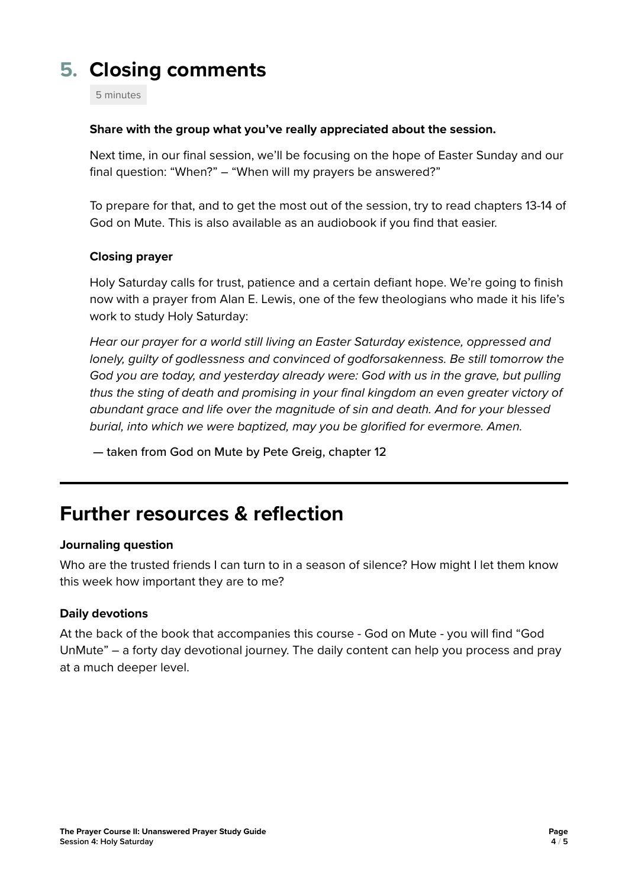# **5. Closing comments**

5 minutes

#### **Share with the group what you've really appreciated about the session.**

Next time, in our final session, we'll be focusing on the hope of Easter Sunday and our final question: "When?" – "When will my prayers be answered?"

To prepare for that, and to get the most out of the session, try to read chapters 13-14 of God on Mute. This is also available as an audiobook if you find that easier.

#### **Closing prayer**

Holy Saturday calls for trust, patience and a certain defiant hope. We're going to finish now with a prayer from Alan E. Lewis, one of the few theologians who made it his life's work to study Holy Saturday:

*Hear our prayer for a world still living an Easter Saturday existence, oppressed and lonely, guilty of godlessness and convinced of godforsakenness. Be still tomorrow the God you are today, and yesterday already were: God with us in the grave, but pulling thus the sting of death and promising in your final kingdom an even greater victory of abundant grace and life over the magnitude of sin and death. And for your blessed burial, into which we were baptized, may you be glorified for evermore. Amen.*

— taken from God on Mute by Pete Greig, chapter 12

### **Further resources & reflection**

#### **Journaling question**

Who are the trusted friends I can turn to in a season of silence? How might I let them know this week how important they are to me?

#### **Daily devotions**

At the back of the book that accompanies this course - God on Mute - you will find "God UnMute" – a forty day devotional journey. The daily content can help you process and pray at a much deeper level.